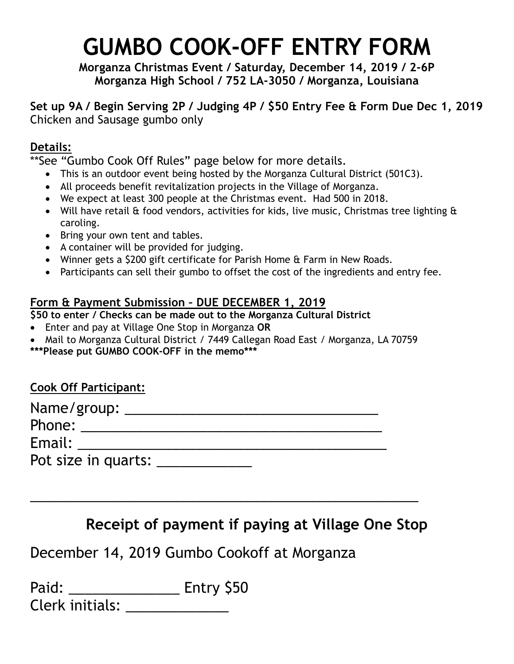# **GUMBO COOK-OFF ENTRY FORM**

**Morganza Christmas Event / Saturday, December 14, 2019 / 2-6P Morganza High School / 752 LA-3050 / Morganza, Louisiana**

**Set up 9A / Begin Serving 2P / Judging 4P / \$50 Entry Fee & Form Due Dec 1, 2019** Chicken and Sausage gumbo only

# **Details:**

\*\*See "Gumbo Cook Off Rules" page below for more details.

- This is an outdoor event being hosted by the Morganza Cultural District (501C3).
- All proceeds benefit revitalization projects in the Village of Morganza.
- We expect at least 300 people at the Christmas event. Had 500 in 2018.
- Will have retail & food vendors, activities for kids, live music, Christmas tree lighting & caroling.
- Bring your own tent and tables.
- A container will be provided for judging.
- Winner gets a \$200 gift certificate for Parish Home & Farm in New Roads.
- Participants can sell their gumbo to offset the cost of the ingredients and entry fee.

# **Form & Payment Submission – DUE DECEMBER 1, 2019**

**\$50 to enter / Checks can be made out to the Morganza Cultural District**

- Enter and pay at Village One Stop in Morganza **OR**
- Mail to Morganza Cultural District / 7449 Callegan Road East / Morganza, LA 70759 **\*\*\*Please put GUMBO COOK-OFF in the memo\*\*\***

| <b>Cook Off Participant:</b> |  |
|------------------------------|--|
| Name/group:                  |  |
| Phone:                       |  |
| Email:                       |  |
| Pot size in quarts:          |  |

\_\_\_\_\_\_\_\_\_\_\_\_\_\_\_\_\_\_\_\_\_\_\_\_\_\_\_\_\_\_\_\_\_\_\_\_\_\_\_\_\_\_\_\_\_\_\_\_\_

# **Receipt of payment if paying at Village One Stop**

December 14, 2019 Gumbo Cookoff at Morganza

| Paid: |                        | Entry \$50 |  |
|-------|------------------------|------------|--|
|       | <b>Clerk initials:</b> |            |  |